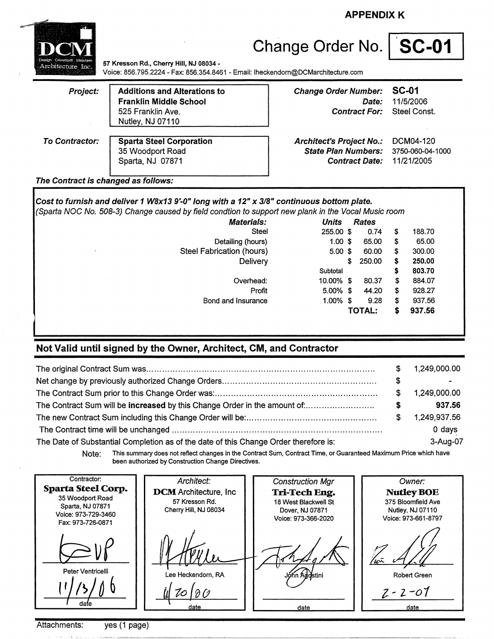**APPENDIX K** 



# Change Order No. | **SC-01**

**57 Kresson Rd., Cherry Hill, NJ 08034** - Voice: 856.795.2224 - Fax: 856.354.8461 - Email: lheckendorn@DCMarchitecture.com

| Project:              | <b>Additions and Alterations to</b><br><b>Franklin Middle School</b><br>525 Franklin Ave.<br>Nutley, NJ 07110 | <b>Change Order Number:</b><br>Date:<br><b>Contract For:</b> Steel Const.                        | SC-01<br>11/5/2006      |
|-----------------------|---------------------------------------------------------------------------------------------------------------|--------------------------------------------------------------------------------------------------|-------------------------|
| <b>To Contractor:</b> | <b>Sparta Steel Corporation</b><br>35 Woodport Road<br>Sparta, NJ 07871                                       | <b>Architect's Project No.:</b><br>State Plan Numbers: 3750-060-04-1000<br><b>Contract Date:</b> | DCM04-120<br>11/21/2005 |

#### **The Contract is changed as follows:**

**Cost to furnish and deliver 1 WBx13 9'-0" long with a 12" x 318" continuous bottom plate.**  (Sparta NOC No. 508-3) Change caused by field condtion to support new plank in the Vocal Music room **Materials: Units Rates**  Steel 255.00 \$ 0.74 Detailing (hours) 1.00 \$ 65.00 Steel Fabrication (hours) 5.00 \$ 60.00 Delivery \$ 250.00 Overhead: Profit Bond and Insurance **Subtotal** 10.00% 5.00% 1.00% \$ 80.37 44.20 \$ 9.28 **TOTAL:**  \$ \$ \$ \$ \$ \$ \$ \$ \$ 188.70 65.00 300.00 **250.00 803.70**  884.07 928.27 937.56 **937.56** 

### **Not Valid until signed by the Owner, Architect, CM, and Contractor**

|                                                                                      | S. | 1,249,000.00             |
|--------------------------------------------------------------------------------------|----|--------------------------|
|                                                                                      | \$ | $\overline{\phantom{0}}$ |
|                                                                                      | S. | 1,249,000.00             |
| The Contract Sum will be increased by this Change Order in the amount of             | S  | 937.56                   |
|                                                                                      | S. | 1.249.937.56             |
|                                                                                      |    | 0 days                   |
| The Date of Substantial Completion as of the date of this Change Order therefore is: |    | 3-Aug-07                 |

Note: This summary does not reflect changes in the Contract Sum, Contract Time, or Guaranteed Maximum Price which have been authorized by Construction Change Directives.

| Contractor:<br><b>Sparta Steel Corp.</b><br>35 Woodport Road<br>Sparta, NJ 07871<br>Voice: 973-729-3460<br>Fax: 973-726-0871 | Architect:<br><b>DCM</b> Architecture, Inc.<br>57 Kresson Rd.<br>Cherry Hill, NJ 08034 | <b>Construction Mgr</b><br>Tri-Tech Eng.<br>18 West Blackwell St<br>Dover, NJ 07871<br>Voice: 973-366-2020 | Owner:<br><b>Nutley BOE</b><br>375 Bloomfield Ave<br>Nutley, NJ 07110<br>Voice: 973-661-8797 |
|------------------------------------------------------------------------------------------------------------------------------|----------------------------------------------------------------------------------------|------------------------------------------------------------------------------------------------------------|----------------------------------------------------------------------------------------------|
| Peter Ventricelli<br>date                                                                                                    | Lee Heckendorn, RA<br>date                                                             | Jónn Addstini<br>date                                                                                      | <b>Robert Green</b><br>$2 - 2 - 07$<br>date                                                  |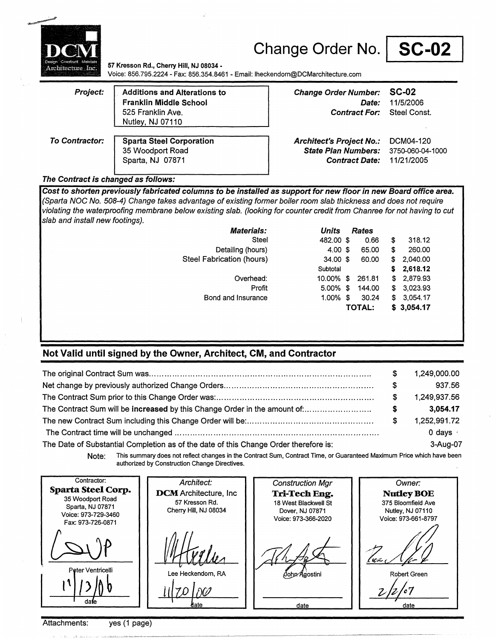

**57 Kresson Rd., Cherry Hill, NJ 08034** - Voice: 856.795.2224 - Fax: 856.354.8461 - Email: lheckendorn@DCMarchitecture.com

| Project:       | <b>Additions and Alterations to</b><br><b>Franklin Middle School</b> | <b>Change Order Number: SC-02</b><br><i>Date:</i>             | 11/5/2006                 |
|----------------|----------------------------------------------------------------------|---------------------------------------------------------------|---------------------------|
|                | 525 Franklin Ave.<br><b>Nutley, NJ 07110</b>                         | <b>Contract For:</b>                                          | Steel Const.              |
| To Contractor: | <b>Sparta Steel Corporation</b><br>35 Woodport Road                  | <b>Architect's Project No.:</b><br><b>State Plan Numbers:</b> | DCM04-120<br>3750-060-04- |

**State Plan Numbers: 3750-060-04-1000** Sparta, NJ 07871 **Contract Date:** 11/21/2005

### **The Contract is changed as follows:**

**Cost to shorten previously fabricated columns to be installed as support for new floor in new Board office area.**  (Sparta NOC No. 508-4) Change takes advantage of existing former boiler room slab thickness and does not require violating the waterproofing membrane below existing slab. (looking for counter credit from Chanree for not having to cut slab and install new footings).

| <b>Materials:</b>         | Units               | <b>Rates</b>  |    |            |
|---------------------------|---------------------|---------------|----|------------|
| Steel                     | 482.00 \$           | 0.66          | \$ | 318.12     |
| Detailing (hours)         | 4.00~\$             | 65.00         | \$ | 260.00     |
| Steel Fabrication (hours) | $34.00 \text{ }$ \$ | 60.00         | \$ | 2,040.00   |
|                           | Subtotal            |               | S. | 2,618.12   |
| Overhead:                 | 10.00% \$           | 261.81        |    | \$2,879.93 |
| Profit                    | 5.00%               | -\$<br>144.00 |    | \$3,023.93 |
| Bond and Insurance        | 1.00%               | -\$<br>30.24  |    | \$3,054.17 |
|                           |                     | TOTAL:        |    | \$3,054.17 |
|                           |                     |               |    |            |
|                           |                     |               |    |            |
|                           |                     |               |    |            |

### **Not Valid until signed by the Owner, Architect, CM, and Contractor**

|                                                                                      | S  | 1,249,000.00     |
|--------------------------------------------------------------------------------------|----|------------------|
|                                                                                      | \$ | 937.56           |
|                                                                                      | S  | 1.249.937.56     |
| The Contract Sum will be increased by this Change Order in the amount of             | S  | 3.054.17         |
|                                                                                      | S  | 1,252,991.72     |
|                                                                                      |    | $0$ days $\cdot$ |
| The Date of Substantial Completion as of the date of this Change Order therefore is: |    | 3-Aug-07         |

**Note:** This summary does not reflect changes in the Contract Sum, Contract Time, or Guaranteed Maximum Price which have been authorized by Construction Change Directives.

| Contractor:<br><b>Sparta Steel Corp.</b><br>35 Woodport Road<br>Sparta, NJ 07871<br>Voice: 973-729-3460<br>Fax: 973-726-0871 | Architect:<br><b>DCM</b> Architecture, Inc.<br>57 Kresson Rd.<br>Cherry Hill, NJ 08034 | <b>Construction Mgr</b><br>Tri-Tech Eng.<br>18 West Blackwell St<br>Dover, NJ 07871<br>Voice: 973-366-2020 | Owner:<br><b>Nutley BOE</b><br>375 Bloomfield Ave<br>Nutley, NJ 07110<br>Voice: 973-661-8797 |
|------------------------------------------------------------------------------------------------------------------------------|----------------------------------------------------------------------------------------|------------------------------------------------------------------------------------------------------------|----------------------------------------------------------------------------------------------|
| Peter Ventricelli                                                                                                            | Lee Heckendorn, RA                                                                     | Oohn Agostini                                                                                              | uz                                                                                           |
| dale                                                                                                                         |                                                                                        | date                                                                                                       | Robert Green                                                                                 |

### Attachments: yes (1 page)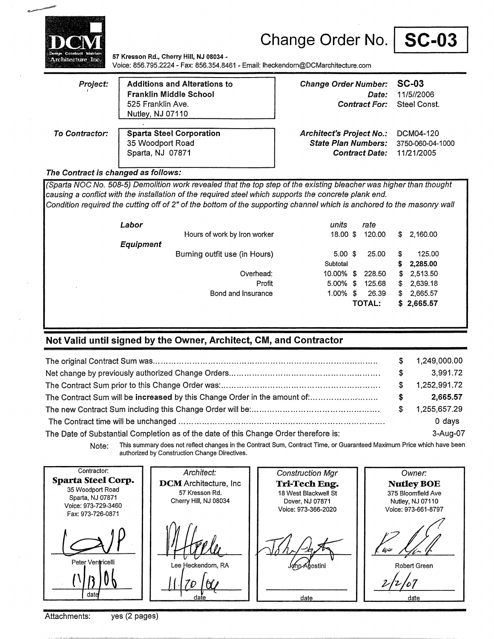



**57 Kresson Rd., Cherry Hill, NJ 08034** - Voice: 856.795.2224- Fax: 856.354.8461 - Email: lheckendorn@DCMarchitecture.com

| Project:       | <b>Additions and Alterations to</b><br>Franklin Middle School<br>525 Franklin Ave.<br>Nutley, NJ 07110 | Change Order Number: SC-03<br><i>Date:</i><br><b>Contract For:</b> Steel Const.                     | 11/5//2006 |
|----------------|--------------------------------------------------------------------------------------------------------|-----------------------------------------------------------------------------------------------------|------------|
| To Contractor: | <b>Sparta Steel Corporation</b><br>35 Woodport Road<br>Sparta, NJ 07871                                | Architect's Project No.: DCM04-120<br>State Plan Numbers: 3750-060-04-1000<br><b>Contract Date:</b> | 11/21/2005 |

#### **The Contract is changed as follows:**

(Sparta NOC No. 508-5) Demolition work revealed that the top step of the existing bleacher was higher than thought causing a conflict with the installation of the required steel which supports the concrete plank end. Condition required the cutting off of 2" of the bottom of the supporting channel which is anchored to the masonry wall

| Labor            |                               | units       | rate          |     |            |
|------------------|-------------------------------|-------------|---------------|-----|------------|
|                  | Hours of work by Iron worker  | $18.00$ \$  | 120.00        | SS. | 2,160.00   |
| <b>Equipment</b> |                               |             |               |     |            |
|                  | Burning outfit use (in Hours) | $5.00$ \$   | 25.00         | \$  | 125.00     |
|                  |                               | Subtotal    |               | s   | 2,285.00   |
|                  | Overhead:                     | 10.00% \$   | 228.50        |     | \$2,513.50 |
|                  | Profit                        | $5.00\%$ \$ | 125.68        | \$  | 2,639.18   |
|                  | Bond and Insurance            | $1.00\%$ \$ | 26.39         | \$  | 2,665.57   |
|                  |                               |             | <b>TOTAL:</b> |     | \$2,665.57 |

### **Not Valid until signed by the Owner, Architect, CM, and Contractor**

|                                                                                      | S.       | 1,249,000.00 |
|--------------------------------------------------------------------------------------|----------|--------------|
|                                                                                      | S.       | 3,991.72     |
|                                                                                      | S.       | 1.252,991.72 |
| The Contract Sum will be increased by this Change Order in the amount of:            | $\sim$ 5 | 2.665.57     |
|                                                                                      | S.       | 1,255,657.29 |
|                                                                                      |          | $0$ days     |
| The Date of Substantial Completion as of the date of this Change Order therefore is: |          | 3-Aug-07     |

Note: This summary does not reflect changes in the Contract Sum, Contract Time, or Guaranteed Maximum Price which have been authorized by Construction Change Directives.

| Contractor:<br><b>Sparta Steel Corp.</b><br>35 Woodport Road<br>Sparta, NJ 07871<br>Voice: 973-729-3460<br>Fax: 973-726-0871 | Architect:<br><b>DCM</b> Architecture, Inc.<br>57 Kresson Rd.<br>Cherry Hill, NJ 08034 | <b>Construction Mgr</b><br>Tri-Tech Eng.<br>18 West Blackwell St<br>Dover, NJ 07871<br>Voice: 973-366-2020 | Owner:<br><b>Nutley BOE</b><br>375 Bloomfield Ave<br>Nutley, NJ 07110<br>Voice: 973-661-8797 |
|------------------------------------------------------------------------------------------------------------------------------|----------------------------------------------------------------------------------------|------------------------------------------------------------------------------------------------------------|----------------------------------------------------------------------------------------------|
| Peter Ventricelli<br>date                                                                                                    | Lee Heckendorn, RA<br>date                                                             | - 17<br>John Agostini<br>date                                                                              | شنان<br>Robert Green<br>date                                                                 |

Attachments: yes (2 pages)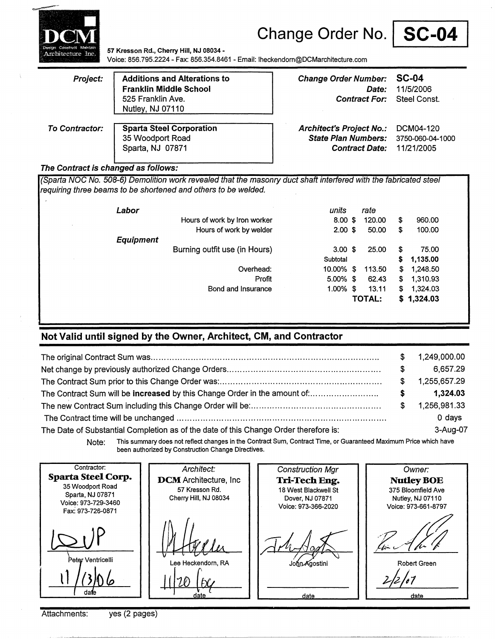



**57 Kresson Rd., Cherry** Hill, **NJ 08034** - Voice: 856.795.2224- Fax: 856.354.8461 - Email: lheckendom@DCMarchitecture.com

| Project:              | <b>Additions and Alterations to</b><br><b>Franklin Middle School</b><br>525 Franklin Ave.<br>Nutley, NJ 07110 | Change Order Number: SC-04<br>Date:<br><b>Contract For:</b> | 11/5/2006<br>Steel Const. |
|-----------------------|---------------------------------------------------------------------------------------------------------------|-------------------------------------------------------------|---------------------------|
| <b>To Contractor:</b> | <b>Sparta Steel Corporation</b>                                                                               | <b>Architect's Project No.:</b>                             | DCM04-120                 |
|                       | 35 Woodport Road                                                                                              | <b>State Plan Numbers:</b>                                  | 3750-060-04-1000          |
|                       | Sparta, NJ 07871                                                                                              | <b>Contract Date:</b>                                       | 11/21/2005                |

#### **The Contract is changed as follows:**

(Sparta NOC No. 508-6) Demolition work revealed that the masonry duct shaft interfered with the fabricated steel requiring three beams to be shortened and others to be welded.

| Labor                         | units              | rate         |                |
|-------------------------------|--------------------|--------------|----------------|
| Hours of work by Iron worker  | $8.00$ \$          | 120.00       | \$<br>960.00   |
| Hours of work by welder       | $2.00$ \$          | 50.00        | \$<br>100.00   |
| <b>Equipment</b>              |                    |              |                |
| Burning outfit use (in Hours) | $3.00 \text{ }$ \$ | 25.00        | \$<br>75.00    |
|                               | Subtotal           |              | \$<br>1,135.00 |
| Overhead:                     | 10.00%             | \$<br>113.50 | \$<br>1,248.50 |
| Profit                        | $5.00\%$ \$        | 62.43        | \$<br>1,310.93 |
| Bond and Insurance            | 1.00%              | \$<br>13.11  | \$<br>1,324.03 |
|                               |                    | TOTAL:       | \$1,324.03     |

### **Not Valid until signed by the Owner, Architect, CM, and Contractor**

|                                                                                      | £. | 1,249,000.00 |
|--------------------------------------------------------------------------------------|----|--------------|
|                                                                                      | S  | 6.657.29     |
|                                                                                      | S. | 1,255,657.29 |
|                                                                                      | s  | 1,324.03     |
|                                                                                      | S. | 1,256,981.33 |
|                                                                                      |    | $0$ days     |
| The Date of Substantial Completion as of the date of this Change Order therefore is: |    | 3-Aug-07     |

**Note:** This summary does not reflect changes in the Contract Sum, Contract Time, or Guaranteed Maximum Price which have been authorized by Construction Change Directives.

Contractor: Architect: Construction Mgr Owner: **Sparta Steel Corp.**  DCM Architecture, Inc. **Tri-Tech Eng. NutleyBOE**  35 Woodport Road 57 Kresson Rd. 18 West Blackwell St 375 Bloomfield Ave Sparta, NJ 07871 Cherry Hill, NJ 08034 Dover, NJ 07871 Nutley, NJ 07110 Voice: 973-729-3460 Voice: 973-366-2020 Voice: 973-661-8797 Fax: 973-726-0871 .<br>Peter Ventricelli Lee Heckendorn, RA John Agostini Robert Green 11/20 (by  $2/2/07$ dafe date date

Attachments: yes (2 pages)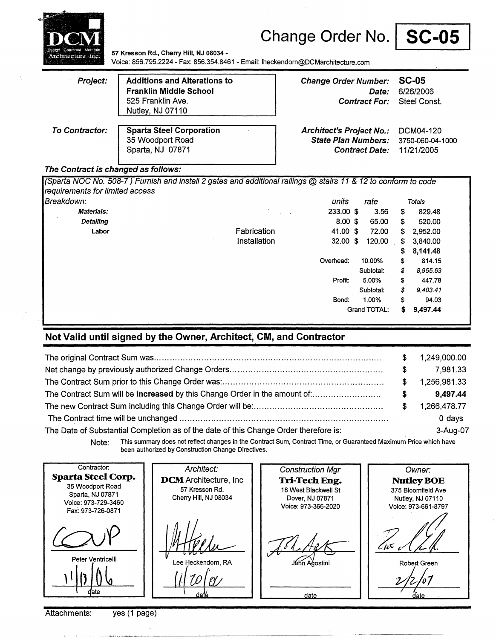

**57 Kresson Rd., Cherry Hill, NJ 08034** - Voice: 856.795.2224- Fax: 856.354.8461 - Email: lheckendorn@DCMarchitecture.com

| Project:       | <b>Additions and Alterations to</b><br><b>Franklin Middle School</b><br>525 Franklin Ave.<br>Nutley, NJ 07110 | <b>Change Order Number:</b><br>Date:<br><b>Contract For:</b> | SC-05<br>6/26/2006<br>Steel Const. |
|----------------|---------------------------------------------------------------------------------------------------------------|--------------------------------------------------------------|------------------------------------|
| To Contractor: | <b>Sparta Steel Corporation</b>                                                                               | <b>Architect's Project No.:</b>                              | DCM04-120                          |
|                | 35 Woodport Road                                                                                              | <b>State Plan Numbers:</b>                                   | 3750-060-04-1000                   |
|                | Sparta, NJ 07871                                                                                              | <b>Contract Date:</b>                                        | 11/21/2005                         |

### **The Contract is changed as follows:**

(Sparta NOC No. 508-7) Furnish and install 2 gates and additional railings @ stairs 11 & 12 to conform to code requirements for limited access Breakdown: **Materials: Detailing Labor** Fabrication Installation units 233.00 \$ 8.00 \$ 41.00 \$ 32.00 \$ rate 3.56 65.00 72.00 120.00 Overhead: 10.00% Subtotal: Profit: 5.00% Subtotal: Bond: 1.00% Grand TOTAL: \$ \$ Totals 829.48 520.00 \$ 2,952.00 \$ 3,840.00 \$ **8,141.48**  \$ 814.15 \$ 8,955.63 \$ 447.78 \$ 9,403.41 \$ 94.03 \$ **9,497.44** 

### **Not Valid until signed by the Owner, Architect, CM, and Contractor**

|                                                                                      | S. | 1,249,000.00 |
|--------------------------------------------------------------------------------------|----|--------------|
|                                                                                      | S. | 7.981.33     |
|                                                                                      | S. | 1,256,981.33 |
|                                                                                      | S. | 9.497.44     |
|                                                                                      | S. | 1,266,478.77 |
|                                                                                      |    | 0 days       |
| The Date of Substantial Completion as of the date of this Change Order therefore is: |    | 3-Aug-07     |

Note: This summary does not reflect changes in the Contract Sum, Contract Time, or Guaranteed Maximum Price which have been authorized by Construction Change Directives.

| Contractor:<br><b>Sparta Steel Corp.</b><br>35 Woodport Road<br>Sparta, NJ 07871<br>Voice: 973-729-3460<br>Fax: 973-726-0871 | Architect:<br><b>DCM</b> Architecture, Inc<br>57 Kresson Rd.<br>Cherry Hill, NJ 08034 | <b>Construction Mgr</b><br>Tri-Tech Eng.<br>18 West Blackwell St<br>Dover, NJ 07871<br>Voice: 973-366-2020 | Owner:<br><b>Nutley BOE</b><br>375 Bloomfield Ave<br>Nutley, NJ 07110<br>Voice: 973-661-8797 |
|------------------------------------------------------------------------------------------------------------------------------|---------------------------------------------------------------------------------------|------------------------------------------------------------------------------------------------------------|----------------------------------------------------------------------------------------------|
| Peter Ventricelli<br>date                                                                                                    | Lee Heckendorn, RA<br>daté                                                            | J6hn Ağostini<br>date                                                                                      | C ii S<br>Robert Green<br>date                                                               |

Attachments: yes (1 page)